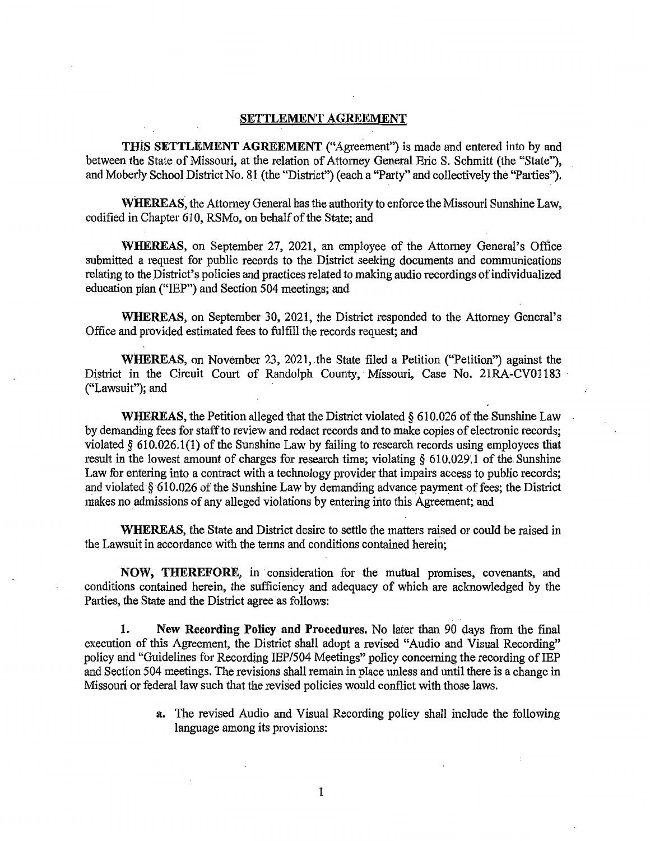## **SETTLEMENT AGREEMENT**

**THIS SETTLEMENT AGREEMENT** ("Agreement") is made and entered into by and between the State of Missouri, at the relation of Attorney General Eric S. Schmitt (the "State"), and Moberly School District No. 81 (the "District") ( each a "Party" and collectively the "Patties").

**WHEREAS,** the Attorney General has the authority to enforce the Missouri Sunshine Law, codified in Chapter 610, RSMo, on behalf of the State; and

**WHEREAS,** on September 27, 2021, an employee of the Attorney General's Office submitted a request for public records to the District seeking documents and communications relating to the District's policies and practices related to making audio recordings of individualized education plan ("IEP") and Section 504 meetings; and

**WHEREAS,** on September 30, 2021, the District responded to the Attomey General's Office and provided estimated fees to fulfill the records request; and

**WHEREAS,** on November 23, 2021, the State filed a Petition ("Petition") against the District in the Circuit Court of Randolph County, Missouri, Case No. 21RA-CV01183 ("Lawsuit"); and

**WHEREAS,** the Petition alleged that the District violated § 610.026 of the Sunshine Law by demanding fees for staff to review and redact records and to make copies of electronic records; violated§ 610.026.1(1) of the Sunshine Law by failing to research records using employees that result in the lowest amount of charges for research time; violating  $\S$  610.029.1 of the Sunshine Law for entering into a contract with a technology provider that impairs access to public records; and violated § 610.026 of the Sunshine Law by demanding advance payment of fees; the District makes no admissions of any alleged violations by entering into this Agreement; and

WHEREAS, the State and District desire to settle the matters raised or could be raised in the Lawsuit in accordance with the terms and conditions contained herein;

**NOW, THEREFORE,** in · consideration for the mutual promises, covenants, and conditions contained herein, the sufficiency and adequacy of which are aclmowledged by the Parties, the State and the District agree as follows:

**1. New Recording Policy and Procedures.** No later than 90 days from the final execution of this Agreement, the District shall adopt a revised "Audio and Visual Recording" policy and "Guidelines for Recording IEP/504 Meetings" policy concerning the recording of IEP and Section 504 meetings. The revisions shall remain in place unless and until there is a change in Missouri or federal law such that the revised policies would conflict with those laws.

> **a.** The revised Audio and Visual Recording policy shall include the following language among its provisions:

> > 1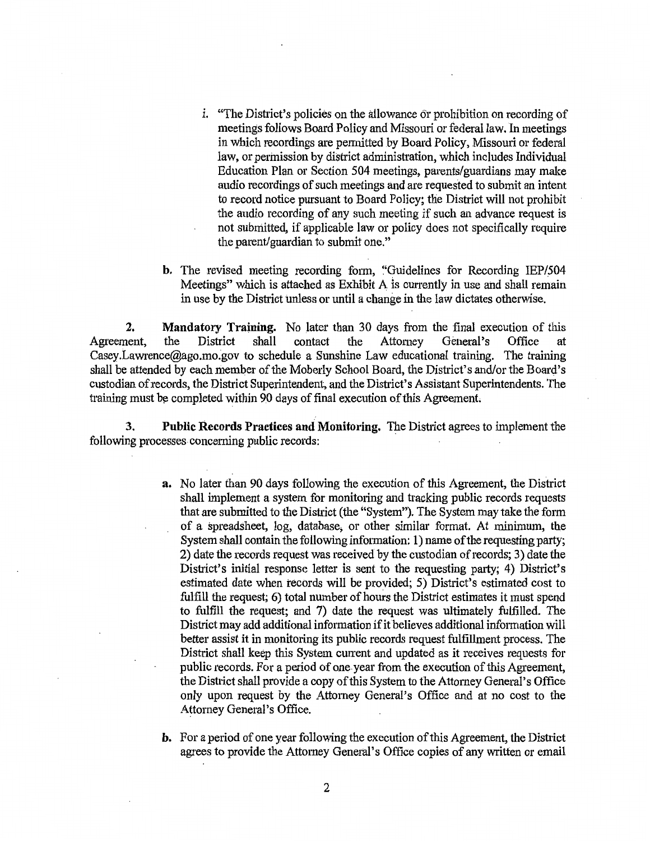- i. "The District's policies on the allowance or prohibition on recording of meetings follows Board Policy and Missouri or federal law. In meetings in which recordings are pemrltted by Board Policy, Missouri or federal law, or permission by district administration, which includes Individual Education Plan or Section 504 meetings, parents/guardians may make audio recordings of such meetings and are requested to submit an intent to record notice pursuant to Board Policy; the District will not prohibit the audio recording of any such meeting if such an advance request is not submitted, if applicable law or policy does not specifically require the parent/guardian to submit one."
- **b.** The revised meeting recording form, "Guidelines for Recording IEP/504 Meetings" which is attached as Exhibit  $A$  is currently in use and shall remain in use by the District unless or until a change in the law dictates otherwise.

**2. Mandatory Training.** No later than 30 days from the final execution of this nent, the District shall contact the Attorney General's Office at Agreement, the District shall contact the Attomey General's Office at Casey.Lawrence@ago.mo.gov to schedule a Sunshine Law educational training. The training shall be attended by each member of the Moberly School Board, the District's and/or the Board's custodian of records, the District Superintendent, and the District's Assistant Superintendents. The training must be completed within 90 days of final execution of this Agreement.

**3.** Public Records Practices and Monitoring. The District agrees to implement the following processes concerning public records:

- **a.** No later than 90 days following the execution of this Agreement, the District shall implement a system for monitoring and tracking public records requests that are submitted to the District (the "System"). The System may take the form of a spreadsheet, log, database; or other similar format. At minimum, the System shall contain the following information: 1) name of the requesting party; 2) date the records request was received by the custodian of records; 3) date the District's initial response letter is sent to the requesting party; 4) District's estimated date when records will be provided; 5) District's estimated cost to fulfill the request; 6) total number of hours the District estimates it must spend to fulfill the request; and 7) date the request was ultimately fulfilled. The District may add additional information if it believes additional information will better assist it in monitoring its public records request fulfillment process. The District shall keep this System current and updated as it receives requests for public records. For a period of one-year from the execution of this Agreement, the District shall provide a copy of this System to the Attomey General's Office only upon request by the Attorney General's Office and at no cost to the Attorney General's Office.
- **b.** For a period of one year following the execution of this Agreement, the District agrees to provide the Attorney General's Office copies of any written or email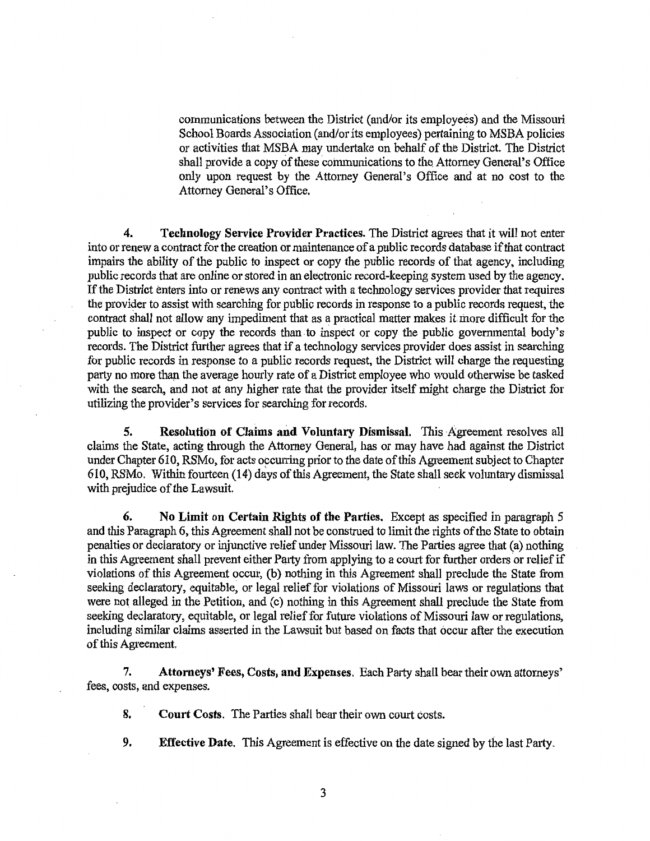communications between the District (and/or its employees) and the Missouri School Boards Association (and/or its employees) pertaining to MSBA policies or activities that MSBA may undertake on behalf of the District. The District shall provide a copy of these communications to the. Attorney General's Office only upon request by the Attorney General's Office and at no cost to the Attorney General's Office.

4. **Technology Service Provider Practices.** The District agrees that it will not enter into or renew a contract for the creation or maintenance of a public records database if that contract impairs the ability of the public to inspect or copy the public records of that agency, including public records that are online or stored in an electronic record-keeping system used by the agency. If the District enters into or renews any contract with a technology services provider that requires the provider to assist with searching for public records in response to a public records request, the contract shall not allow any impediment that as a practical matter makes it more difficult for the public to inspect or copy the records than to inspect or copy the public governmental body's records. The District further agrees that if a technology services provider does assist in searching for public records in response to a public records request, the District will charge the requesting party no more than the average hourly rate of a District employee who would otherwise be tasked with the search, and not at any higher rate that the provider itself might charge the District for utilizing the provider's services for searching for records.

**5. Resolution of Claims and Voluntary Dismissal.** This Agreement resolves all claims the State, acting through the Attorney General, has or may have had against the District under Chapter 610, RSMo, for acts occurring prior to the date of this Agreement subject to Chapter 610, RSMo. Within fourteen (14) days of this Agreement, the State shall seek voluntary dismissal with prejudice of the Lawsuit.

**6. No Limit on Certain Rights of the Parties.** Except as specified in paragraph 5 and this Paragraph 6, this Agreement shall not be construed to limit the rights of the State to obtain penalties or declaratory or injunctive relief under Missouri law. The Parties agree that (a) nothing in this Agreement shall prevent either Party from applying to a court for further orders or relief if violations of this Agreement occur, (b) nothing in this Agreement shall preclude the State from seeking declaratory, equitable, or legal relief for violations of Missouri laws or regulations that were not alleged in the Petition, and (c) nothing in this Agreement shall preclude the State from seeking declaratory, equitable, or legal relief for future violations of Missouri law or regulations, including similar claims asserted in the Lawsuit but based on facts that occur after the execution of this Agreement.

**7. Attorneys' Fees, Costs, and Expenses.** Each Party shall bear their own attorneys' fees, costs, and expenses.

**8.** Court Costs. The Parties shall bear their own court costs.

- **9. Effective Date.** This Agreement is effective on the date signed by the last Party.
	- 3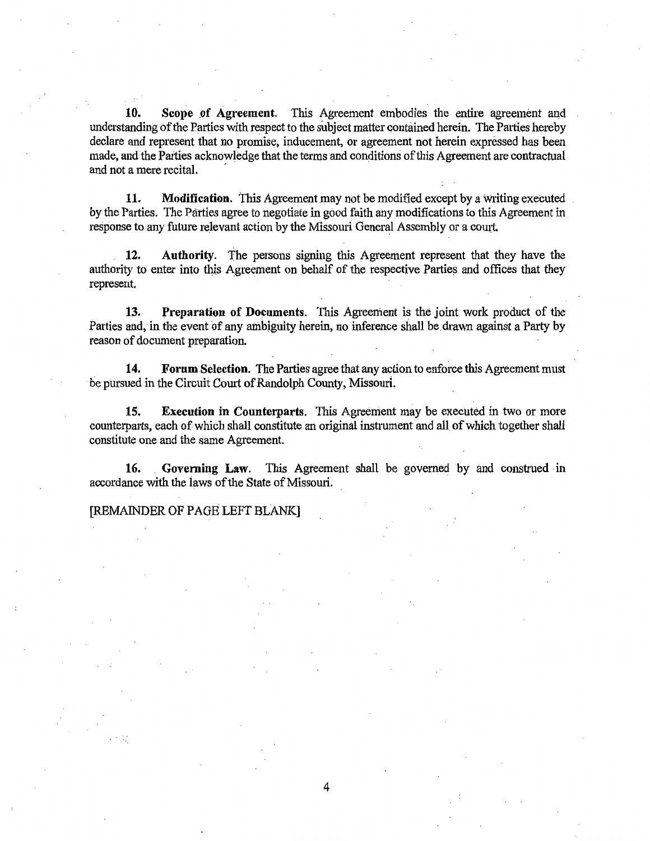**10.** Scope of Agreement. This Agreement embodies the entire agreement and understanding of the Parties with respect to the subject matter contained herein. The Parties hereby declare and represent that no promise, inducement, or agreement not herein expressed has been made, and the Parties acknowledge that the terms and conditions of this Agreement are contractual and not a mere recital.

**11.** Modification. This Agreement may not be modified except by a writing executed by the Parties. The Parties agree to negotiate in good faith any modifications to this Agreement in response to any future relevant action by the Missouri General Assembly or a court.

**12. Authority.** The persons signing this Agreement represent that they have the authority to enter into this Agreement on behalf of the respective Parties and offices that they represent.

**13. Preparation of Documents.** This Agreement is the joint work product of the Parties and, in the event of any ambiguity herein, no inference shall be drawn against a Party by reason of document preparation.

. **14. Forum Selection.** The Parties agree that any action to enforce this Agreement must be pursued in the Circuit Court of Randolph County, Missouri.

**15. Execution in Counterparts.** This Agreement may be executed in two or more counterparts, each of which shall constitute an original instrument and all of which together shall constitute one and the same Agreement.

16. Governing Law. This Agreement shall be governed by and construed in accordance with the iaws of the State of Missouri.

## [REMAINDER OF PAGE LEFT BLANK]